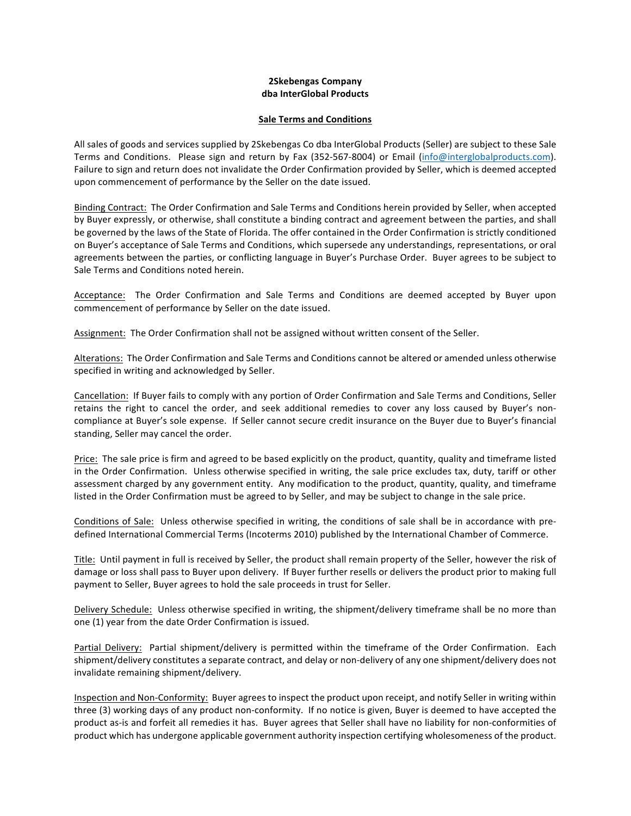## **2Skebengas Company dba InterGlobal Products**

## **Sale Terms and Conditions**

All sales of goods and services supplied by 2Skebengas Co dba InterGlobal Products (Seller) are subject to these Sale Terms and Conditions. Please sign and return by Fax (352-567-8004) or Email (info@interglobalproducts.com). Failure to sign and return does not invalidate the Order Confirmation provided by Seller, which is deemed accepted upon commencement of performance by the Seller on the date issued.

Binding Contract: The Order Confirmation and Sale Terms and Conditions herein provided by Seller, when accepted by Buyer expressly, or otherwise, shall constitute a binding contract and agreement between the parties, and shall be governed by the laws of the State of Florida. The offer contained in the Order Confirmation is strictly conditioned on Buyer's acceptance of Sale Terms and Conditions, which supersede any understandings, representations, or oral agreements between the parties, or conflicting language in Buyer's Purchase Order. Buyer agrees to be subject to Sale Terms and Conditions noted herein.

Acceptance: The Order Confirmation and Sale Terms and Conditions are deemed accepted by Buyer upon commencement of performance by Seller on the date issued.

Assignment: The Order Confirmation shall not be assigned without written consent of the Seller.

Alterations: The Order Confirmation and Sale Terms and Conditions cannot be altered or amended unless otherwise specified in writing and acknowledged by Seller.

Cancellation: If Buyer fails to comply with any portion of Order Confirmation and Sale Terms and Conditions, Seller retains the right to cancel the order, and seek additional remedies to cover any loss caused by Buyer's noncompliance at Buyer's sole expense. If Seller cannot secure credit insurance on the Buyer due to Buyer's financial standing, Seller may cancel the order.

Price: The sale price is firm and agreed to be based explicitly on the product, quantity, quality and timeframe listed in the Order Confirmation. Unless otherwise specified in writing, the sale price excludes tax, duty, tariff or other assessment charged by any government entity. Any modification to the product, quantity, quality, and timeframe listed in the Order Confirmation must be agreed to by Seller, and may be subject to change in the sale price.

Conditions of Sale: Unless otherwise specified in writing, the conditions of sale shall be in accordance with predefined International Commercial Terms (Incoterms 2010) published by the International Chamber of Commerce.

Title: Until payment in full is received by Seller, the product shall remain property of the Seller, however the risk of damage or loss shall pass to Buyer upon delivery. If Buyer further resells or delivers the product prior to making full payment to Seller, Buyer agrees to hold the sale proceeds in trust for Seller.

Delivery Schedule: Unless otherwise specified in writing, the shipment/delivery timeframe shall be no more than one (1) year from the date Order Confirmation is issued.

Partial Delivery: Partial shipment/delivery is permitted within the timeframe of the Order Confirmation. Each shipment/delivery constitutes a separate contract, and delay or non-delivery of any one shipment/delivery does not invalidate remaining shipment/delivery.

Inspection and Non-Conformity: Buyer agrees to inspect the product upon receipt, and notify Seller in writing within three (3) working days of any product non-conformity. If no notice is given, Buyer is deemed to have accepted the product as-is and forfeit all remedies it has. Buyer agrees that Seller shall have no liability for non-conformities of product which has undergone applicable government authority inspection certifying wholesomeness of the product.